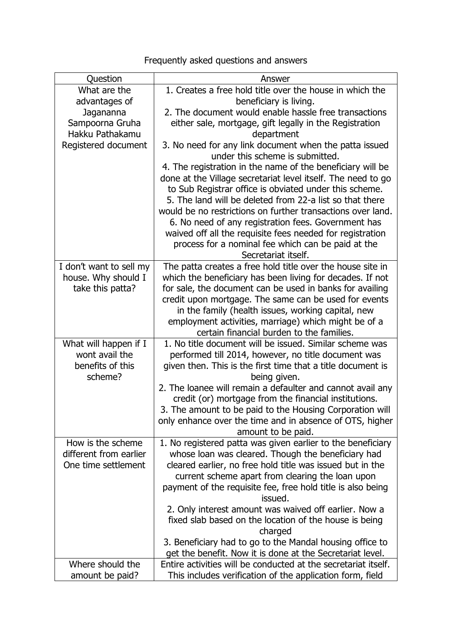## Frequently asked questions and answers

| Question                | Answer                                                         |
|-------------------------|----------------------------------------------------------------|
| What are the            | 1. Creates a free hold title over the house in which the       |
| advantages of           | beneficiary is living.                                         |
| Jagananna               | 2. The document would enable hassle free transactions          |
| Sampoorna Gruha         | either sale, mortgage, gift legally in the Registration        |
| Hakku Pathakamu         | department                                                     |
| Registered document     | 3. No need for any link document when the patta issued         |
|                         | under this scheme is submitted.                                |
|                         | 4. The registration in the name of the beneficiary will be     |
|                         | done at the Village secretariat level itself. The need to go   |
|                         | to Sub Registrar office is obviated under this scheme.         |
|                         | 5. The land will be deleted from 22-a list so that there       |
|                         | would be no restrictions on further transactions over land.    |
|                         | 6. No need of any registration fees. Government has            |
|                         | waived off all the requisite fees needed for registration      |
|                         | process for a nominal fee which can be paid at the             |
|                         | Secretariat itself.                                            |
| I don't want to sell my | The patta creates a free hold title over the house site in     |
| house. Why should I     | which the beneficiary has been living for decades. If not      |
| take this patta?        | for sale, the document can be used in banks for availing       |
|                         | credit upon mortgage. The same can be used for events          |
|                         | in the family (health issues, working capital, new             |
|                         | employment activities, marriage) which might be of a           |
|                         | certain financial burden to the families.                      |
| What will happen if I   | 1. No title document will be issued. Similar scheme was        |
| wont avail the          | performed till 2014, however, no title document was            |
| benefits of this        | given then. This is the first time that a title document is    |
| scheme?                 | being given.                                                   |
|                         |                                                                |
|                         | 2. The loanee will remain a defaulter and cannot avail any     |
|                         | credit (or) mortgage from the financial institutions.          |
|                         | 3. The amount to be paid to the Housing Corporation will       |
|                         | only enhance over the time and in absence of OTS, higher       |
|                         | amount to be paid.                                             |
| How is the scheme       | 1. No registered patta was given earlier to the beneficiary    |
| different from earlier  | whose loan was cleared. Though the beneficiary had             |
| One time settlement     | cleared earlier, no free hold title was issued but in the      |
|                         | current scheme apart from clearing the loan upon               |
|                         | payment of the requisite fee, free hold title is also being    |
|                         | issued.                                                        |
|                         | 2. Only interest amount was waived off earlier. Now a          |
|                         | fixed slab based on the location of the house is being         |
|                         | charged                                                        |
|                         | 3. Beneficiary had to go to the Mandal housing office to       |
|                         | get the benefit. Now it is done at the Secretariat level.      |
| Where should the        | Entire activities will be conducted at the secretariat itself. |
| amount be paid?         | This includes verification of the application form, field      |